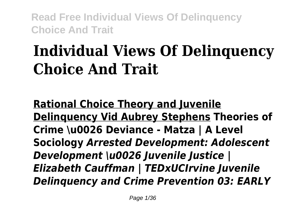# **Individual Views Of Delinquency Choice And Trait**

**Rational Choice Theory and Juvenile Delinquency Vid Aubrey Stephens Theories of Crime \u0026 Deviance - Matza | A Level Sociology** *Arrested Development: Adolescent Development \u0026 Juvenile Justice | Elizabeth Cauffman | TEDxUCIrvine Juvenile Delinquency and Crime Prevention 03: EARLY*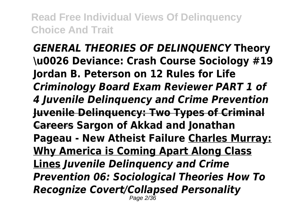*GENERAL THEORIES OF DELINQUENCY* **Theory \u0026 Deviance: Crash Course Sociology #19 Jordan B. Peterson on 12 Rules for Life**  *Criminology Board Exam Reviewer PART 1 of 4 Juvenile Delinquency and Crime Prevention* **Juvenile Delinquency: Two Types of Criminal Careers Sargon of Akkad and Jonathan Pageau - New Atheist Failure Charles Murray: Why America is Coming Apart Along Class Lines** *Juvenile Delinquency and Crime Prevention 06: Sociological Theories How To Recognize Covert/Collapsed Personality* Page 2/36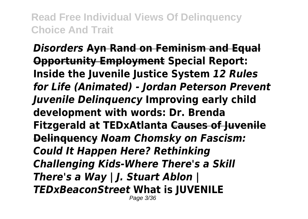*Disorders* **Ayn Rand on Feminism and Equal Opportunity Employment Special Report: Inside the Juvenile Justice System** *12 Rules for Life (Animated) - Jordan Peterson Prevent Juvenile Delinquency* **Improving early child development with words: Dr. Brenda Fitzgerald at TEDxAtlanta Causes of Juvenile Delinquency** *Noam Chomsky on Fascism: Could It Happen Here? Rethinking Challenging Kids-Where There's a Skill There's a Way | J. Stuart Ablon | TEDxBeaconStreet* **What is JUVENILE** Page 3/36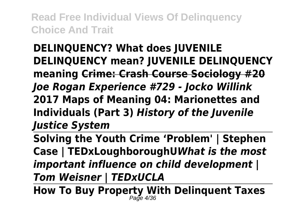**DELINQUENCY? What does JUVENILE DELINQUENCY mean? JUVENILE DELINQUENCY meaning Crime: Crash Course Sociology #20** *Joe Rogan Experience #729 - Jocko Willink* **2017 Maps of Meaning 04: Marionettes and Individuals (Part 3)** *History of the Juvenile Justice System*

**Solving the Youth Crime 'Problem' | Stephen Case | TEDxLoughboroughU***What is the most important influence on child development | Tom Weisner | TEDxUCLA*

**How To Buy Property With Delinquent Taxes** Page 4/36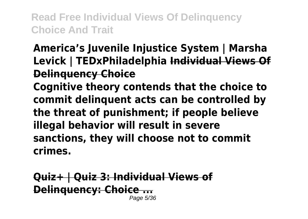# **America's Juvenile Injustice System | Marsha Levick | TEDxPhiladelphia Individual Views Of Delinquency Choice**

**Cognitive theory contends that the choice to commit delinquent acts can be controlled by the threat of punishment; if people believe illegal behavior will result in severe sanctions, they will choose not to commit crimes.**

**Quiz+ | Quiz 3: Individual Views of Delinquency: Choice ...** Page 5/36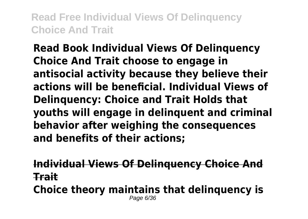**Read Book Individual Views Of Delinquency Choice And Trait choose to engage in antisocial activity because they believe their actions will be beneficial. Individual Views of Delinquency: Choice and Trait Holds that youths will engage in delinquent and criminal behavior after weighing the consequences and benefits of their actions;**

**Individual Views Of Delinquency Choice And Trait**

**Choice theory maintains that delinquency is** Page 6/36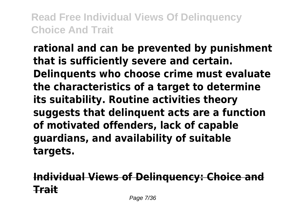**rational and can be prevented by punishment that is sufficiently severe and certain. Delinquents who choose crime must evaluate the characteristics of a target to determine its suitability. Routine activities theory suggests that delinquent acts are a function of motivated offenders, lack of capable guardians, and availability of suitable targets.**

**Individual Views of Delinquency: Choice and Trait**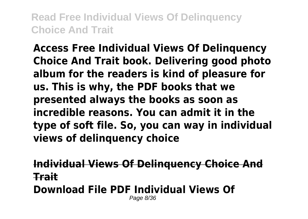**Access Free Individual Views Of Delinquency Choice And Trait book. Delivering good photo album for the readers is kind of pleasure for us. This is why, the PDF books that we presented always the books as soon as incredible reasons. You can admit it in the type of soft file. So, you can way in individual views of delinquency choice**

**Individual Views Of Delinquency Choice And Trait**

**Download File PDF Individual Views Of** Page 8/36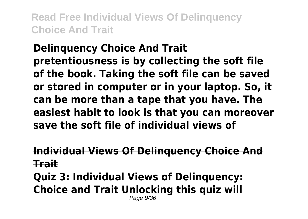# **Delinquency Choice And Trait pretentiousness is by collecting the soft file of the book. Taking the soft file can be saved or stored in computer or in your laptop. So, it can be more than a tape that you have. The easiest habit to look is that you can moreover save the soft file of individual views of**

**Individual Views Of Delinquency Choice And Trait Quiz 3: Individual Views of Delinquency: Choice and Trait Unlocking this quiz will** Page 9/36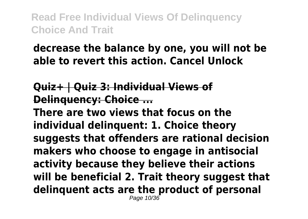### **decrease the balance by one, you will not be able to revert this action. Cancel Unlock**

# **Quiz+ | Quiz 3: Individual Views of Delinquency: Choice ...**

**There are two views that focus on the individual delinquent: 1. Choice theory suggests that offenders are rational decision makers who choose to engage in antisocial activity because they believe their actions will be beneficial 2. Trait theory suggest that delinquent acts are the product of personal** Page 10/36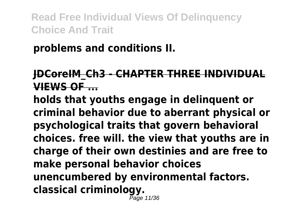# **problems and conditions II.**

# **JDCoreIM\_Ch3 - CHAPTER THREE INDIVIDUAL VIEWS OF ...**

**holds that youths engage in delinquent or criminal behavior due to aberrant physical or psychological traits that govern behavioral choices. free will. the view that youths are in charge of their own destinies and are free to make personal behavior choices unencumbered by environmental factors. classical criminology.** Page 11/36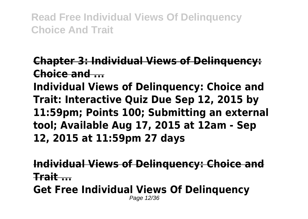#### **Chapter 3: Individual Views of Delinquency: Choice and ...**

**Individual Views of Delinquency: Choice and Trait: Interactive Quiz Due Sep 12, 2015 by 11:59pm; Points 100; Submitting an external tool; Available Aug 17, 2015 at 12am - Sep 12, 2015 at 11:59pm 27 days**

**Individual Views of Delinquency: Choice and Trait ...**

**Get Free Individual Views Of Delinquency** Page 12/36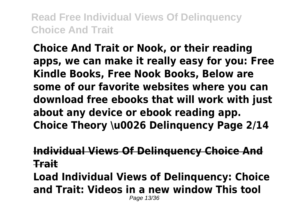**Choice And Trait or Nook, or their reading apps, we can make it really easy for you: Free Kindle Books, Free Nook Books, Below are some of our favorite websites where you can download free ebooks that will work with just about any device or ebook reading app. Choice Theory \u0026 Delinquency Page 2/14**

**Individual Views Of Delinquency Choice And Trait Load Individual Views of Delinquency: Choice**

**and Trait: Videos in a new window This tool**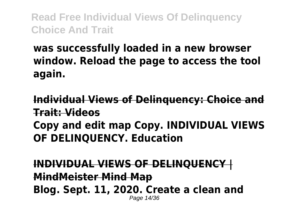# **was successfully loaded in a new browser window. Reload the page to access the tool again.**

#### **Individual Views of Delinquency: Choice and Trait: Videos**

**Copy and edit map Copy. INDIVIDUAL VIEWS OF DELINQUENCY. Education**

#### **INDIVIDUAL VIEWS OF DELINQUENCY | MindMeister Mind Map Blog. Sept. 11, 2020. Create a clean and** Page 14/36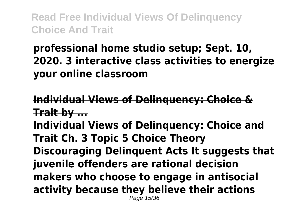# **professional home studio setup; Sept. 10, 2020. 3 interactive class activities to energize your online classroom**

**Individual Views of Delinquency: Choice & Trait by ...**

**Individual Views of Delinquency: Choice and Trait Ch. 3 Topic 5 Choice Theory Discouraging Delinquent Acts It suggests that juvenile offenders are rational decision makers who choose to engage in antisocial activity because they believe their actions** Page 15/36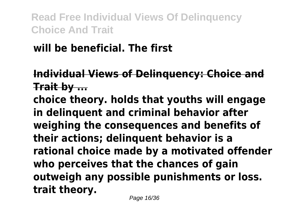# **will be beneficial. The first**

# **Individual Views of Delinquency: Choice and Trait by ...**

**choice theory. holds that youths will engage in delinquent and criminal behavior after weighing the consequences and benefits of their actions; delinquent behavior is a rational choice made by a motivated offender who perceives that the chances of gain outweigh any possible punishments or loss. trait theory.**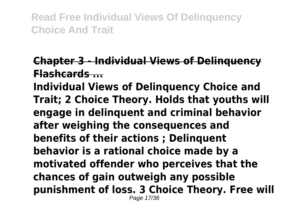#### **Chapter 3 - Individual Views of Delinquency Flashcards ...**

**Individual Views of Delinquency Choice and Trait; 2 Choice Theory. Holds that youths will engage in delinquent and criminal behavior after weighing the consequences and benefits of their actions ; Delinquent behavior is a rational choice made by a motivated offender who perceives that the chances of gain outweigh any possible punishment of loss. 3 Choice Theory. Free will** Page 17/36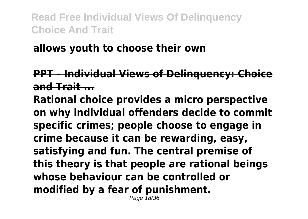## **allows youth to choose their own**

# **PPT – Individual Views of Delinquency: Choice and Trait ...**

**Rational choice provides a micro perspective on why individual offenders decide to commit specific crimes; people choose to engage in crime because it can be rewarding, easy, satisfying and fun. The central premise of this theory is that people are rational beings whose behaviour can be controlled or modified by a fear of punishment.** Page 18/36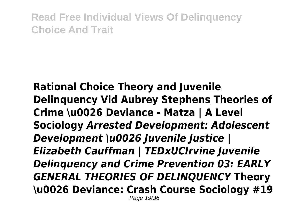**Rational Choice Theory and Juvenile Delinquency Vid Aubrey Stephens Theories of Crime \u0026 Deviance - Matza | A Level Sociology** *Arrested Development: Adolescent Development \u0026 Juvenile Justice | Elizabeth Cauffman | TEDxUCIrvine Juvenile Delinquency and Crime Prevention 03: EARLY GENERAL THEORIES OF DELINQUENCY* **Theory \u0026 Deviance: Crash Course Sociology #19** Page 19/36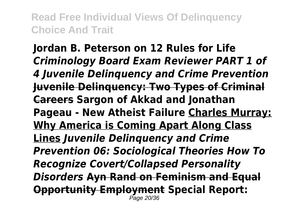**Jordan B. Peterson on 12 Rules for Life**  *Criminology Board Exam Reviewer PART 1 of 4 Juvenile Delinquency and Crime Prevention* **Juvenile Delinquency: Two Types of Criminal Careers Sargon of Akkad and Jonathan Pageau - New Atheist Failure Charles Murray: Why America is Coming Apart Along Class Lines** *Juvenile Delinquency and Crime Prevention 06: Sociological Theories How To Recognize Covert/Collapsed Personality Disorders* **Ayn Rand on Feminism and Equal Opportunity Employment Special Report:**  $P_{\text{A}}$  $\alpha$  20/36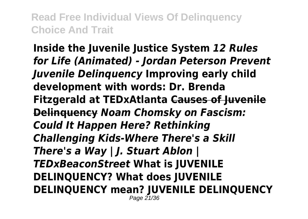**Inside the Juvenile Justice System** *12 Rules for Life (Animated) - Jordan Peterson Prevent Juvenile Delinquency* **Improving early child development with words: Dr. Brenda Fitzgerald at TEDxAtlanta Causes of Juvenile Delinquency** *Noam Chomsky on Fascism: Could It Happen Here? Rethinking Challenging Kids-Where There's a Skill There's a Way | J. Stuart Ablon | TEDxBeaconStreet* **What is JUVENILE DELINQUENCY? What does JUVENILE DELINQUENCY mean? JUVENILE DELINQUENCY** Page 21/36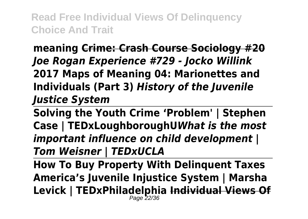**meaning Crime: Crash Course Sociology #20** *Joe Rogan Experience #729 - Jocko Willink* **2017 Maps of Meaning 04: Marionettes and Individuals (Part 3)** *History of the Juvenile Justice System*

**Solving the Youth Crime 'Problem' | Stephen Case | TEDxLoughboroughU***What is the most important influence on child development | Tom Weisner | TEDxUCLA*

**How To Buy Property With Delinquent Taxes America's Juvenile Injustice System | Marsha Levick | TEDxPhiladelphia Individual Views Of** Page 22/36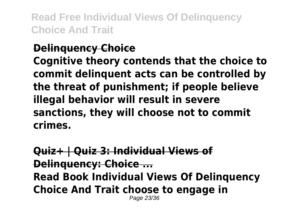#### **Delinguency Choice**

**Cognitive theory contends that the choice to commit delinquent acts can be controlled by the threat of punishment; if people believe illegal behavior will result in severe sanctions, they will choose not to commit crimes.**

**Quiz+ | Quiz 3: Individual Views of Delinquency: Choice ... Read Book Individual Views Of Delinquency Choice And Trait choose to engage in** Page 23/36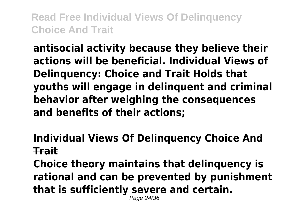**antisocial activity because they believe their actions will be beneficial. Individual Views of Delinquency: Choice and Trait Holds that youths will engage in delinquent and criminal behavior after weighing the consequences and benefits of their actions;**

**Individual Views Of Delinquency Choice And Trait**

**Choice theory maintains that delinquency is rational and can be prevented by punishment that is sufficiently severe and certain.** Page 24/36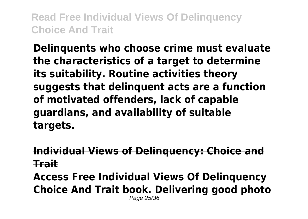**Delinquents who choose crime must evaluate the characteristics of a target to determine its suitability. Routine activities theory suggests that delinquent acts are a function of motivated offenders, lack of capable guardians, and availability of suitable targets.**

**Individual Views of Delinquency: Choice and Trait Access Free Individual Views Of Delinquency Choice And Trait book. Delivering good photo** Page 25/36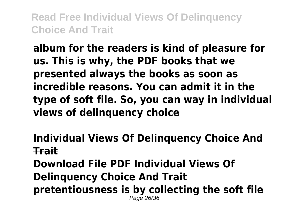**album for the readers is kind of pleasure for us. This is why, the PDF books that we presented always the books as soon as incredible reasons. You can admit it in the type of soft file. So, you can way in individual views of delinquency choice**

**Individual Views Of Delinquency Choice And Trait**

**Download File PDF Individual Views Of Delinquency Choice And Trait pretentiousness is by collecting the soft file** Page 26/36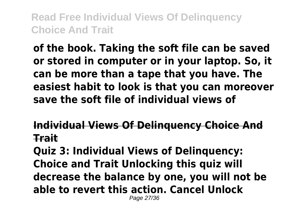**of the book. Taking the soft file can be saved or stored in computer or in your laptop. So, it can be more than a tape that you have. The easiest habit to look is that you can moreover save the soft file of individual views of**

**Individual Views Of Delinquency Choice And Trait**

**Quiz 3: Individual Views of Delinquency: Choice and Trait Unlocking this quiz will decrease the balance by one, you will not be able to revert this action. Cancel Unlock** Page 27/36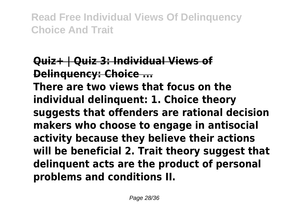# **Quiz+ | Quiz 3: Individual Views of Delinquency: Choice ...**

**There are two views that focus on the individual delinquent: 1. Choice theory suggests that offenders are rational decision makers who choose to engage in antisocial activity because they believe their actions will be beneficial 2. Trait theory suggest that delinquent acts are the product of personal problems and conditions II.**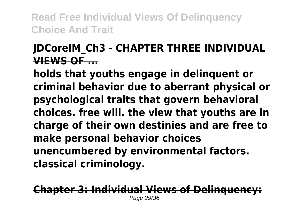# **IDCoreIM Ch3 - CHAPTER THREE INDIVID VIEWS OF ...**

**holds that youths engage in delinquent or criminal behavior due to aberrant physical or psychological traits that govern behavioral choices. free will. the view that youths are in charge of their own destinies and are free to make personal behavior choices unencumbered by environmental factors. classical criminology.**

**Chapter 3: Individual Views of Delinquency:** Page 29/36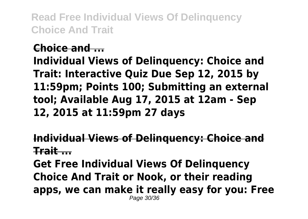# **Choice and ... Individual Views of Delinquency: Choice and Trait: Interactive Quiz Due Sep 12, 2015 by 11:59pm; Points 100; Submitting an external tool; Available Aug 17, 2015 at 12am - Sep 12, 2015 at 11:59pm 27 days**

**Individual Views of Delinquency: Choice and Trait ...**

**Get Free Individual Views Of Delinquency Choice And Trait or Nook, or their reading apps, we can make it really easy for you: Free** Page 30/36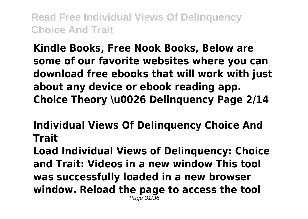**Kindle Books, Free Nook Books, Below are some of our favorite websites where you can download free ebooks that will work with just about any device or ebook reading app. Choice Theory \u0026 Delinquency Page 2/14**

**Individual Views Of Delinquency Choice And Trait**

**Load Individual Views of Delinquency: Choice and Trait: Videos in a new window This tool was successfully loaded in a new browser window. Reload the page to access the tool**  $P$ age 31/36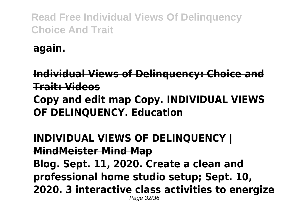**again.**

**Individual Views of Delinquency: Choice and Trait: Videos Copy and edit map Copy. INDIVIDUAL VIEWS OF DELINQUENCY. Education**

**INDIVIDUAL VIEWS OF DELINQUENCY | MindMeister Mind Map Blog. Sept. 11, 2020. Create a clean and professional home studio setup; Sept. 10, 2020. 3 interactive class activities to energize** Page 32/36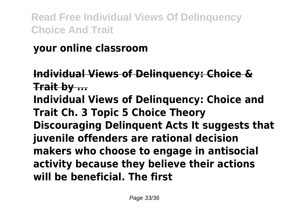# **your online classroom**

# **Individual Views of Delinquency: Choice & Trait by ... Individual Views of Delinquency: Choice and Trait Ch. 3 Topic 5 Choice Theory Discouraging Delinquent Acts It suggests that juvenile offenders are rational decision makers who choose to engage in antisocial activity because they believe their actions will be beneficial. The first**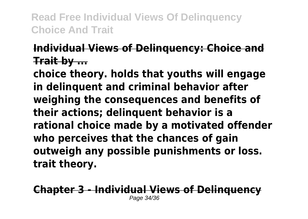# **Individual Views of Delinquency: Choice and Trait by ...**

**choice theory. holds that youths will engage in delinquent and criminal behavior after weighing the consequences and benefits of their actions; delinquent behavior is a rational choice made by a motivated offender who perceives that the chances of gain outweigh any possible punishments or loss. trait theory.**

**Chapter 3 - Individual Views of Delinquency** Page 34/36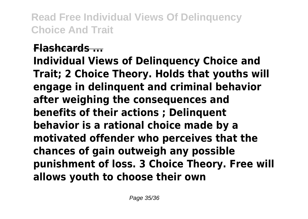#### **Flashcards ...**

**Individual Views of Delinquency Choice and Trait; 2 Choice Theory. Holds that youths will engage in delinquent and criminal behavior after weighing the consequences and benefits of their actions ; Delinquent behavior is a rational choice made by a motivated offender who perceives that the chances of gain outweigh any possible punishment of loss. 3 Choice Theory. Free will allows youth to choose their own**